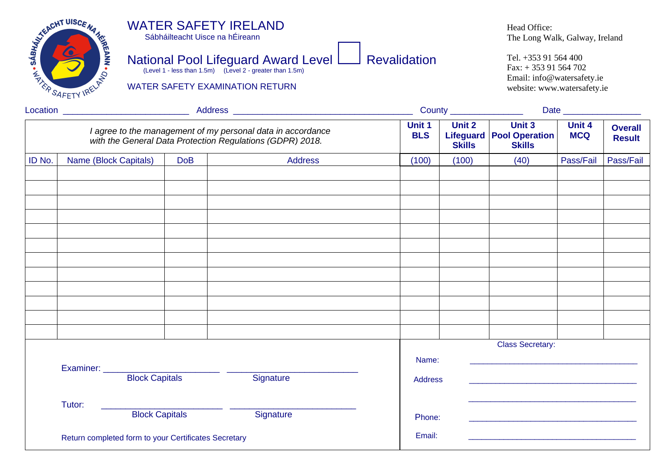| <b>SAFETY IRES</b><br><b>ERREAMN . ONL</b> |                                                      |                       |            | <b>WATER SAFETY IRELAND</b><br>Sábháilteacht Uisce na hÉireann<br>National Pool Lifeguard Award Level [10001]<br><b>WATER SAFETY EXAMINATION RETURN</b> |  | <b>Revalidation</b>  |                         | Head Office:<br>The Long Walk, Galway, Ireland<br>Tel. $+35391564400$<br>Fax: $+35391564702$<br>Email: info@watersafety.ie<br>website: www.watersafety.ie |                             |                                 |  |
|--------------------------------------------|------------------------------------------------------|-----------------------|------------|---------------------------------------------------------------------------------------------------------------------------------------------------------|--|----------------------|-------------------------|-----------------------------------------------------------------------------------------------------------------------------------------------------------|-----------------------------|---------------------------------|--|
|                                            |                                                      |                       |            |                                                                                                                                                         |  |                      |                         |                                                                                                                                                           |                             |                                 |  |
|                                            |                                                      |                       |            | I agree to the management of my personal data in accordance<br>with the General Data Protection Regulations (GDPR) 2018.                                |  | Unit 1<br><b>BLS</b> | Unit 2<br><b>Skills</b> | Unit 3<br><b>Lifeguard Pool Operation</b><br><b>Skills</b>                                                                                                | <b>Unit 4</b><br><b>MCQ</b> | <b>Overall</b><br><b>Result</b> |  |
| ID No.                                     | Name (Block Capitals)                                |                       | <b>DoB</b> | <b>Address</b>                                                                                                                                          |  | (100)                | (100)                   | (40)                                                                                                                                                      | Pass/Fail                   | Pass/Fail                       |  |
|                                            |                                                      |                       |            |                                                                                                                                                         |  |                      |                         |                                                                                                                                                           |                             |                                 |  |
|                                            |                                                      |                       |            |                                                                                                                                                         |  |                      |                         |                                                                                                                                                           |                             |                                 |  |
|                                            |                                                      |                       |            |                                                                                                                                                         |  |                      |                         |                                                                                                                                                           |                             |                                 |  |
|                                            |                                                      |                       |            |                                                                                                                                                         |  |                      |                         |                                                                                                                                                           |                             |                                 |  |
|                                            |                                                      |                       |            |                                                                                                                                                         |  |                      |                         |                                                                                                                                                           |                             |                                 |  |
|                                            |                                                      |                       |            |                                                                                                                                                         |  |                      |                         |                                                                                                                                                           |                             |                                 |  |
|                                            |                                                      |                       |            |                                                                                                                                                         |  |                      |                         |                                                                                                                                                           |                             |                                 |  |
|                                            |                                                      |                       |            |                                                                                                                                                         |  |                      |                         |                                                                                                                                                           |                             |                                 |  |
|                                            |                                                      |                       |            |                                                                                                                                                         |  |                      |                         |                                                                                                                                                           |                             |                                 |  |
|                                            |                                                      |                       |            |                                                                                                                                                         |  |                      |                         |                                                                                                                                                           |                             |                                 |  |
|                                            |                                                      |                       |            |                                                                                                                                                         |  |                      | <b>Class Secretary:</b> |                                                                                                                                                           |                             |                                 |  |
|                                            |                                                      |                       |            |                                                                                                                                                         |  | Name:                |                         |                                                                                                                                                           |                             |                                 |  |
|                                            | Examiner:                                            | <b>Block Capitals</b> |            | Signature                                                                                                                                               |  | <b>Address</b>       |                         |                                                                                                                                                           |                             |                                 |  |
|                                            |                                                      |                       |            |                                                                                                                                                         |  |                      |                         |                                                                                                                                                           |                             |                                 |  |
|                                            | Tutor:                                               | <b>Block Capitals</b> |            | Signature                                                                                                                                               |  |                      |                         |                                                                                                                                                           |                             |                                 |  |
|                                            |                                                      |                       |            |                                                                                                                                                         |  | Phone:               |                         |                                                                                                                                                           |                             |                                 |  |
|                                            | Return completed form to your Certificates Secretary |                       |            |                                                                                                                                                         |  | Email:               |                         |                                                                                                                                                           |                             |                                 |  |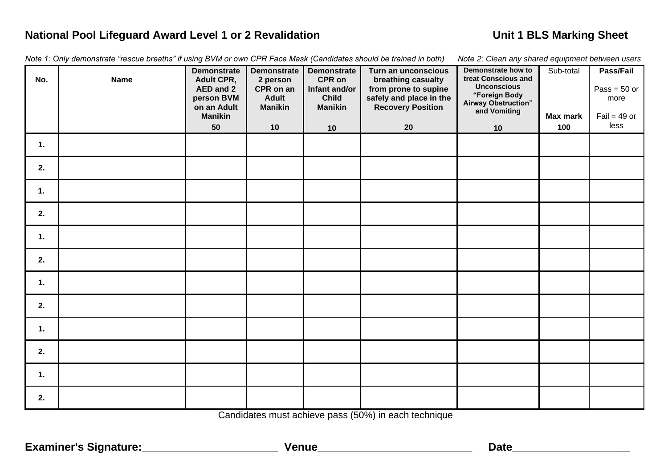## **National Pool Lifeguard Award Level 1 or 2 Revalidation Number 2 2 Number 2 2 Number 2 Number 2 Number 2 Number 2 Number 2 Number 2 Number 2 Number 2 Number 2 Number 2 Number 2 Number 2 Number 2 Number 2 Number 2 Number 2**

| No. | <b>Name</b> | <b>Demonstrate</b><br><b>Adult CPR,</b><br>AED and 2<br>person BVM<br>on an Adult | <b>Demonstrate</b><br>2 person<br>CPR on an<br><b>Adult</b><br><b>Manikin</b> | <b>Demonstrate</b><br>CPR on<br>Infant and/or<br><b>Child</b><br><b>Manikin</b> | Turn an unconscious<br>breathing casualty<br>from prone to supine<br>safely and place in the<br><b>Recovery Position</b> | Demonstrate how to<br>treat Conscious and<br><b>Unconscious</b><br>"Foreign Body<br>Airway Obstruction"<br>and Vomiting | . .<br>Sub-total       | Pass/Fail<br>Pass = $50$ or<br>more |
|-----|-------------|-----------------------------------------------------------------------------------|-------------------------------------------------------------------------------|---------------------------------------------------------------------------------|--------------------------------------------------------------------------------------------------------------------------|-------------------------------------------------------------------------------------------------------------------------|------------------------|-------------------------------------|
|     |             | <b>Manikin</b><br>50                                                              | $10$                                                                          | 10                                                                              | ${\bf 20}$                                                                                                               | 10                                                                                                                      | <b>Max mark</b><br>100 | $Fail = 49$ or<br>less              |
| 1.  |             |                                                                                   |                                                                               |                                                                                 |                                                                                                                          |                                                                                                                         |                        |                                     |
| 2.  |             |                                                                                   |                                                                               |                                                                                 |                                                                                                                          |                                                                                                                         |                        |                                     |
| 1.  |             |                                                                                   |                                                                               |                                                                                 |                                                                                                                          |                                                                                                                         |                        |                                     |
| 2.  |             |                                                                                   |                                                                               |                                                                                 |                                                                                                                          |                                                                                                                         |                        |                                     |
| 1.  |             |                                                                                   |                                                                               |                                                                                 |                                                                                                                          |                                                                                                                         |                        |                                     |
| 2.  |             |                                                                                   |                                                                               |                                                                                 |                                                                                                                          |                                                                                                                         |                        |                                     |
| 1.  |             |                                                                                   |                                                                               |                                                                                 |                                                                                                                          |                                                                                                                         |                        |                                     |
| 2.  |             |                                                                                   |                                                                               |                                                                                 |                                                                                                                          |                                                                                                                         |                        |                                     |
| 1.  |             |                                                                                   |                                                                               |                                                                                 |                                                                                                                          |                                                                                                                         |                        |                                     |
| 2.  |             |                                                                                   |                                                                               |                                                                                 |                                                                                                                          |                                                                                                                         |                        |                                     |
| 1.  |             |                                                                                   |                                                                               |                                                                                 |                                                                                                                          |                                                                                                                         |                        |                                     |
| 2.  |             |                                                                                   |                                                                               |                                                                                 |                                                                                                                          |                                                                                                                         |                        |                                     |

*Note 1: Only demonstrate "rescue breaths" if using BVM or own CPR Face Mask (Candidates should be trained in both) Note 2: Clean any shared equipment between users*

Candidates must achieve pass (50%) in each technique

**Examiner's Signature:\_\_\_\_\_\_\_\_\_\_\_\_\_\_\_\_\_\_\_\_\_\_ Venue\_\_\_\_\_\_\_\_\_\_\_\_\_\_\_\_\_\_\_\_\_\_\_\_\_ Date\_\_\_\_\_\_\_\_\_\_\_\_\_\_\_\_\_\_\_**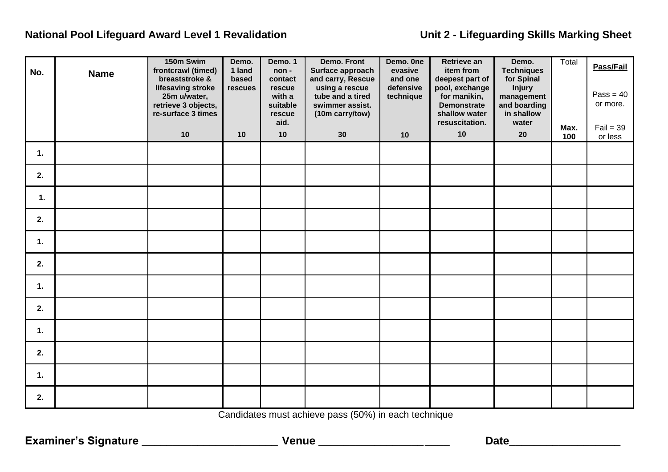# **National Pool Lifeguard Award Level 1 Revalidation Unit 2 - Lifeguarding Skills Marking Sheet**

| No. | <b>Name</b> | 150m Swim<br>frontcrawl (timed)<br>breaststroke &<br>lifesaving stroke<br>25m u/water,<br>retrieve 3 objects,<br>re-surface 3 times<br>$10$ | Demo.<br>1 land<br>based<br>rescues<br>10 | Demo. 1<br>non-<br>contact<br>rescue<br>with a<br>suitable<br>rescue<br>aid.<br>10 | <b>Demo. Front</b><br>Surface approach<br>and carry, Rescue<br>using a rescue<br>tube and a tired<br>swimmer assist.<br>(10m carry/tow)<br>30 | Demo. One<br>evasive<br>and one<br>defensive<br>technique<br>10 | Retrieve an<br>item from<br>deepest part of<br>pool, exchange<br>for manikin,<br><b>Demonstrate</b><br>shallow water<br>resuscitation.<br>10 | Demo.<br><b>Techniques</b><br>for Spinal<br><b>Injury</b><br>management<br>and boarding<br>in shallow<br>water<br>20 | Total<br>Max.<br>100 | Pass/Fail<br>Pass = $40$<br>or more.<br>$Fail = 39$<br>or less |
|-----|-------------|---------------------------------------------------------------------------------------------------------------------------------------------|-------------------------------------------|------------------------------------------------------------------------------------|-----------------------------------------------------------------------------------------------------------------------------------------------|-----------------------------------------------------------------|----------------------------------------------------------------------------------------------------------------------------------------------|----------------------------------------------------------------------------------------------------------------------|----------------------|----------------------------------------------------------------|
| 1.  |             |                                                                                                                                             |                                           |                                                                                    |                                                                                                                                               |                                                                 |                                                                                                                                              |                                                                                                                      |                      |                                                                |
| 2.  |             |                                                                                                                                             |                                           |                                                                                    |                                                                                                                                               |                                                                 |                                                                                                                                              |                                                                                                                      |                      |                                                                |
| 1.  |             |                                                                                                                                             |                                           |                                                                                    |                                                                                                                                               |                                                                 |                                                                                                                                              |                                                                                                                      |                      |                                                                |
| 2.  |             |                                                                                                                                             |                                           |                                                                                    |                                                                                                                                               |                                                                 |                                                                                                                                              |                                                                                                                      |                      |                                                                |
| 1.  |             |                                                                                                                                             |                                           |                                                                                    |                                                                                                                                               |                                                                 |                                                                                                                                              |                                                                                                                      |                      |                                                                |
| 2.  |             |                                                                                                                                             |                                           |                                                                                    |                                                                                                                                               |                                                                 |                                                                                                                                              |                                                                                                                      |                      |                                                                |
| 1.  |             |                                                                                                                                             |                                           |                                                                                    |                                                                                                                                               |                                                                 |                                                                                                                                              |                                                                                                                      |                      |                                                                |
| 2.  |             |                                                                                                                                             |                                           |                                                                                    |                                                                                                                                               |                                                                 |                                                                                                                                              |                                                                                                                      |                      |                                                                |
| 1.  |             |                                                                                                                                             |                                           |                                                                                    |                                                                                                                                               |                                                                 |                                                                                                                                              |                                                                                                                      |                      |                                                                |
| 2.  |             |                                                                                                                                             |                                           |                                                                                    |                                                                                                                                               |                                                                 |                                                                                                                                              |                                                                                                                      |                      |                                                                |
| 1.  |             |                                                                                                                                             |                                           |                                                                                    |                                                                                                                                               |                                                                 |                                                                                                                                              |                                                                                                                      |                      |                                                                |
| 2.  |             |                                                                                                                                             |                                           |                                                                                    |                                                                                                                                               |                                                                 |                                                                                                                                              |                                                                                                                      |                      |                                                                |

Candidates must achieve pass (50%) in each technique

**Examiner's Signature \_\_\_\_\_\_\_\_\_\_\_\_\_\_\_\_\_\_\_\_\_\_ Venue \_\_\_\_\_\_\_\_\_\_\_\_\_\_\_\_\_\_\_\_\_ Date\_\_\_\_\_\_\_\_\_\_\_\_\_\_\_\_\_\_**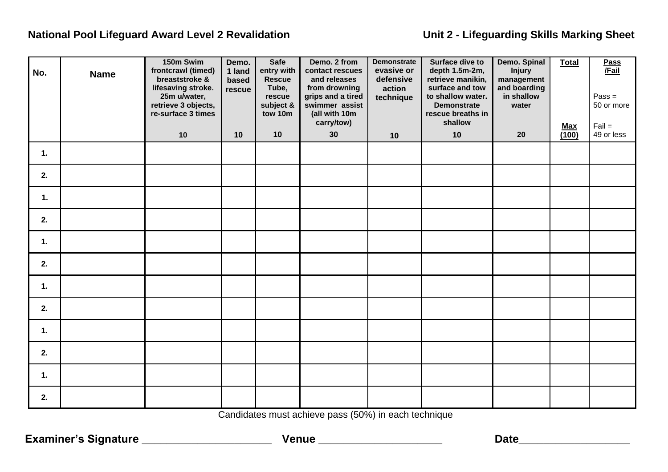# **National Pool Lifeguard Award Level 2 Revalidation Number 2 8 and Number 2 and Number 2 - Lifeguarding Skills Marking Sheet**

| No. | <b>Name</b> | 150m Swim<br>frontcrawl (timed)<br>breaststroke &<br>lifesaving stroke.<br>25m u/water,<br>retrieve 3 objects,<br>re-surface 3 times<br>10 | Demo.<br>1 land<br>based<br>rescue<br>10 | <b>Safe</b><br>entry with<br><b>Rescue</b><br>Tube,<br>rescue<br>subject &<br>tow 10m<br>10 | Demo. 2 from<br>contact rescues<br>and releases<br>from drowning<br>grips and a tired<br>swimmer assist<br>(all with 10m<br>carry/tow)<br>30 | <b>Demonstrate</b><br>evasive or<br>defensive<br>action<br>technique<br>10 | Surface dive to<br>depth 1.5m-2m,<br>retrieve manikin,<br>surface and tow<br>to shallow water.<br><b>Demonstrate</b><br>rescue breaths in<br>shallow<br>10 | Demo. Spinal<br><b>Injury</b><br>management<br>and boarding<br>in shallow<br>water<br>20 | <b>Total</b><br><b>Max</b><br>(100) | Pass<br>/Fail<br>$Pass =$<br>50 or more<br>$Fail =$<br>49 or less |
|-----|-------------|--------------------------------------------------------------------------------------------------------------------------------------------|------------------------------------------|---------------------------------------------------------------------------------------------|----------------------------------------------------------------------------------------------------------------------------------------------|----------------------------------------------------------------------------|------------------------------------------------------------------------------------------------------------------------------------------------------------|------------------------------------------------------------------------------------------|-------------------------------------|-------------------------------------------------------------------|
| 1.  |             |                                                                                                                                            |                                          |                                                                                             |                                                                                                                                              |                                                                            |                                                                                                                                                            |                                                                                          |                                     |                                                                   |
| 2.  |             |                                                                                                                                            |                                          |                                                                                             |                                                                                                                                              |                                                                            |                                                                                                                                                            |                                                                                          |                                     |                                                                   |
| 1.  |             |                                                                                                                                            |                                          |                                                                                             |                                                                                                                                              |                                                                            |                                                                                                                                                            |                                                                                          |                                     |                                                                   |
| 2.  |             |                                                                                                                                            |                                          |                                                                                             |                                                                                                                                              |                                                                            |                                                                                                                                                            |                                                                                          |                                     |                                                                   |
| 1.  |             |                                                                                                                                            |                                          |                                                                                             |                                                                                                                                              |                                                                            |                                                                                                                                                            |                                                                                          |                                     |                                                                   |
| 2.  |             |                                                                                                                                            |                                          |                                                                                             |                                                                                                                                              |                                                                            |                                                                                                                                                            |                                                                                          |                                     |                                                                   |
| 1.  |             |                                                                                                                                            |                                          |                                                                                             |                                                                                                                                              |                                                                            |                                                                                                                                                            |                                                                                          |                                     |                                                                   |
| 2.  |             |                                                                                                                                            |                                          |                                                                                             |                                                                                                                                              |                                                                            |                                                                                                                                                            |                                                                                          |                                     |                                                                   |
| 1.  |             |                                                                                                                                            |                                          |                                                                                             |                                                                                                                                              |                                                                            |                                                                                                                                                            |                                                                                          |                                     |                                                                   |
| 2.  |             |                                                                                                                                            |                                          |                                                                                             |                                                                                                                                              |                                                                            |                                                                                                                                                            |                                                                                          |                                     |                                                                   |
| 1.  |             |                                                                                                                                            |                                          |                                                                                             |                                                                                                                                              |                                                                            |                                                                                                                                                            |                                                                                          |                                     |                                                                   |
| 2.  |             |                                                                                                                                            |                                          |                                                                                             |                                                                                                                                              |                                                                            |                                                                                                                                                            |                                                                                          |                                     |                                                                   |

Candidates must achieve pass (50%) in each technique

**Examiner's Signature \_\_\_\_\_\_\_\_\_\_\_\_\_\_\_\_\_\_\_\_\_ Venue \_\_\_\_\_\_\_\_\_\_\_\_\_\_\_\_\_\_\_\_ Date\_\_\_\_\_\_\_\_\_\_\_\_\_\_\_\_\_\_**